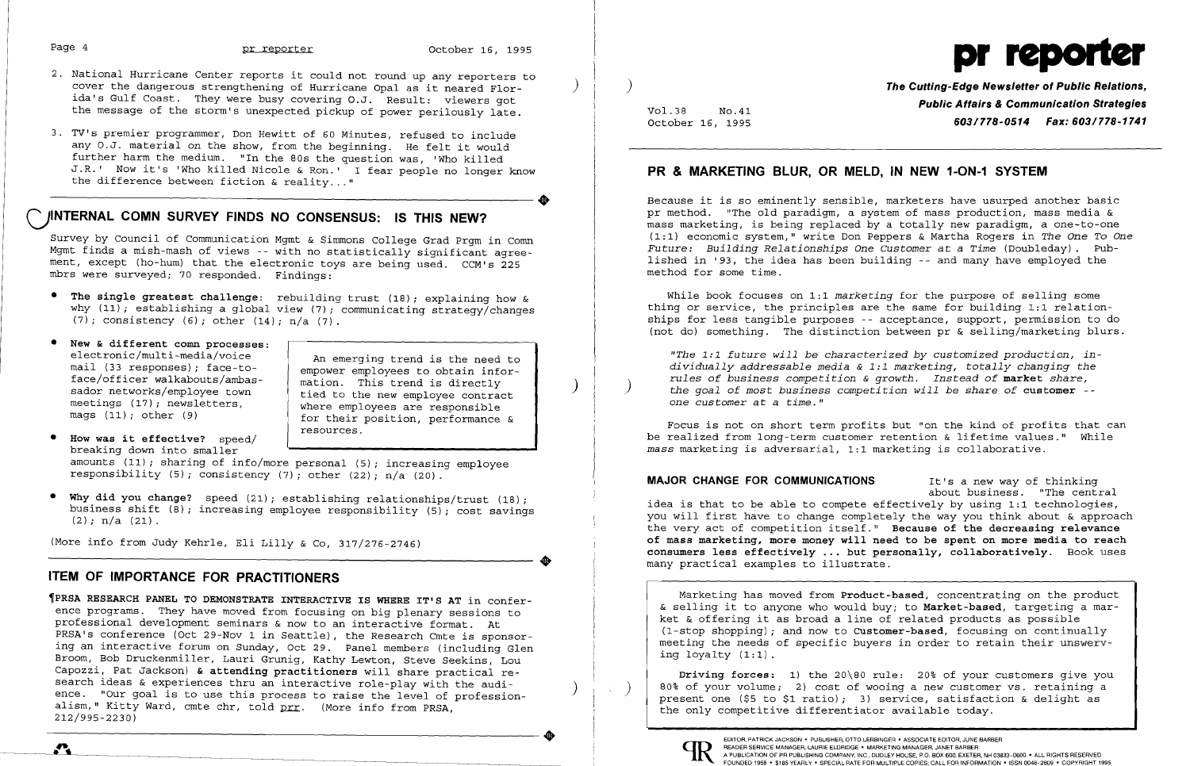- Page 4 **pr reporter** October 16, 1995<br>
2. National Hurricane Center reports it could not round up any reporters to<br>
cover the dangerous strengthening of Hurricane Opal as it neared Flor. cover the dangerous strengthening of Hurricane Opal as it neared Florida's Gulf Coast. They were busy covering O.J. Result: viewers got the message of the storm's unexpected pickup of power perilously late.
- 3. TV's premier programmer, Don Hewitt of 60 Minutes, refused to include any O.J. material on the show, from the beginning. He felt it would further harm the medium. "In the 80s the question was, 'Who killed J.R.' Now it's 'Who killed Nicole & Ron.' I fear people no longer know ---------------------. the difference between fiction & reality ... "

- **• The single greatest challenge:** rebuilding trust (18); explaining how & why  $(11)$ ; establishing a global view  $(7)$ ; communicating strategy/changes (7); consistency (6); other  $(14)$ ; n/a  $(7)$ .
- New & different comn processes:<br>electronic/multi-media/voice

## **CJINTERNAL COMN SURVEY FINDS NO CONSENSUS: IS THIS NEW?**

Survey by Council of Communication Mgmt & Simmons College Grad Prgm in Comn Mgmt finds a mish-mash of views -- with no statistically significant agreement, except (ho-hum) that the electronic toys are being used. CCM's 225 mbrs were surveyed; 70 responded. Findings:

electronic/multi-media/voice and An emerging trend is the need to<br>mail (33 responses): face-tomail (33 responses); face-to-<br>face/officer walkabouts/ambas- | mation. This trend is directly factor walks/amployee town tied to the new employee contract<br>meetings (17); newsletters. meetings  $(17)$ ; newsletters,  $\begin{array}{c|c} \hline \text{where } \text{employee} \text{ are responsible} \\ \text{mag} \quad (11)$ ; other  $(9)$ for their position, performance  $\&$ resources.

**• How was it effective?** speed/ breaking down into smaller amounts (11); sharing of info/more personal (5); increasing employee

**•** 

responsibility (5); consistency (7); other (22);  $n/a$  (20).

**• Why did you change?** speed (21); establishing relationships/trust (18); business shift  $(8)$ ; increasing employee responsibility  $(5)$ ; cost savings  $(2)$ ; n/a  $(21)$ .

**Public Affairs & Communication Strategies**<br>October 16, 1995 **Public Affairs & Communication Strategies** October 16, 1995 **603/778-0514 Fax: 603/778-1741** 

READER SERVICE MANAGER, LAURIE ELDRIDGE . MARKETING MANAGER, JANET BARBER<br>A PUBLICATION OF PR PUBLISHING COMPANY, INC. DUDLEY HOUSE, P.O. BOX 600, EXETER, NH 03833-0600 • ALL RIGHTS RESERVED FOUNDED 1958 . \$185 YEARLY . SPECIAL RATE FOR MULTIPLE COPIES; CALL FOR INFORMATION . ISSN 0048-2609 . COPYRIGHT 1995

(More info from Judy Kehrle, Eli Lilly & Co, 317/276-2746)

### **ITEM OF IMPORTANCE FOR PRACTITIONERS**

## **PR & MARKETING BLUR, OR MELD, IN NEW 1-0N-1 SYSTEM**

Because it is so eminently sensible, marketers have usurped another basic pr method. "The old paradigm, a system of mass production, mass media & mass marketing, is being replaced by a totally new paradigm, a one-to-one (1:1) economic system," write Don Peppers & Martha Rogers in *The One To One Future: Building Relationships One Customer* at a *Time* (Doubleday). Published in '93, the idea has been building -- and many have employed the method for some time.

While book focuses on 1:1 *marketing* for the purpose of selling some thing or service, the principles are the same for building 1:1 relationships for less tangible purposes -- acceptance, support, permission to do (not do) something. The distinction between pr & selling/marketing blurs.

**'PRSA RESEARCH PANEL TO DEMONSTRATE INTERACTIVE IS WHERE IT'S AT** in conference programs. They have moved from focusing on big plenary sessions to professional development seminars & now to an interactive format. At PRSA's conference (Oct 29-Nov 1 in Seattle), the Research Cmte is sponsoring an interactive forum on Sunday, Oct 29. Panel members (including Glen Broom, Bob Druckenmiller, Lauri Grunig, Kathy Lewton, Steve Seekins, Lou Capozzi, Pat Jackson) **& attending practitioners** will share practical reence. "Our goal is to use this process to raise the level of professionalism," Kitty Ward, cmte chr, told prr. (More info from PRSA, 212/995-2230) ----------------------. EDITOR, PATRICK JACKSON' PUBLISHER, OTTO LERBINGER • ASSOCIATE EDITOR, JUNE BARBER

*"The* 1: <sup>1</sup>*future will be characterized by customized production, individually addressable media* & 1:1 *marketing, totally changing the rules of business competition* & *growth. Instead of* **market** *share,* ) *the goal of most business competition will be share of* **customer**  *one customer* at a *time."* 

Focus is not on short term profits but "on the kind of profits that can be realized from long-term customer retention & lifetime values." While *mass* marketing is adversarial, 1:1 marketing is collaborative.

**MAJOR CHANGE FOR COMMUNICATIONS** It's a new way of thinking about business. "The central idea is that to be able to compete effectively by using 1:1 technologies, you will first have to change completely the way you think about & approach the very act of competition itself." **Because of the decreasing relevance of mass marketing, more money will need to be spent on more media to reach consumers less effectively ... but personally, collaboratively.** Book uses many practical examples to illustrate.

Marketing has moved from **Product-based,** concentrating on the product & selling it to anyone who would buy; to **Market-based,** targeting a market & offering it as broad a line of related products as possible (I-stop shopping); and now to **Customer-based,** focusing on continually meeting the needs of specific buyers in order to retain their unswerving loyalty (1:1).

**Driving forces:** 1) the 20\80 rule: 20% of your customers give you 80% of your volume; 2) cost of wooing a new customer vs. retaining a ) present one (\$5 to \$1 ratio); 3) service, satisfaction & delight as the only competitive differentiator available today.